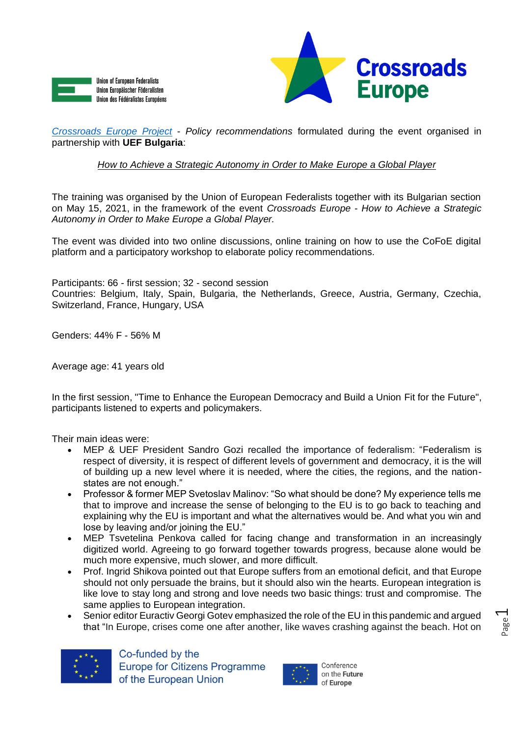



*[Crossroads Europe Project](https://www.crossroadseurope.eu/)* - *Policy recommendations* formulated during the event organised in partnership with **UEF Bulgaria**:

*How to Achieve a Strategic Autonomy in Order to Make Europe a Global Player*

The training was organised by the Union of European Federalists together with its Bulgarian section on May 15, 2021, in the framework of the event *Crossroads Europe* - *How to Achieve a Strategic Autonomy in Order to Make Europe a Global Player.*

The event was divided into two online discussions, online training on how to use the CoFoE digital platform and a participatory workshop to elaborate policy recommendations.

Participants: 66 - first session; 32 - second session Countries: Belgium, Italy, Spain, Bulgaria, the Netherlands, Greece, Austria, Germany, Czechia, Switzerland, France, Hungary, USA

Genders: 44% F - 56% M

Average age: 41 years old

In the first session, "Time to Enhance the European Democracy and Build a Union Fit for the Future", participants listened to experts and policymakers.

Their main ideas were:

- MEP & UEF President Sandro Gozi recalled the importance of federalism: "Federalism is respect of diversity, it is respect of different levels of government and democracy, it is the will of building up a new level where it is needed, where the cities, the regions, and the nationstates are not enough."
- Professor & former MEP Svetoslav Malinov: "So what should be done? My experience tells me that to improve and increase the sense of belonging to the EU is to go back to teaching and explaining why the EU is important and what the alternatives would be. And what you win and lose by leaving and/or joining the EU."
- MEP Tsvetelina Penkova called for facing change and transformation in an increasingly digitized world. Agreeing to go forward together towards progress, because alone would be much more expensive, much slower, and more difficult.
- Prof. Ingrid Shikova pointed out that Europe suffers from an emotional deficit, and that Europe should not only persuade the brains, but it should also win the hearts. European integration is like love to stay long and strong and love needs two basic things: trust and compromise. The same applies to European integration.
- Senior editor Euractiv Georgi Gotev emphasized the role of the EU in this pandemic and argued that "In Europe, crises come one after another, like waves crashing against the beach. Hot on



Co-funded by the **Europe for Citizens Programme** of the European Union



on the Future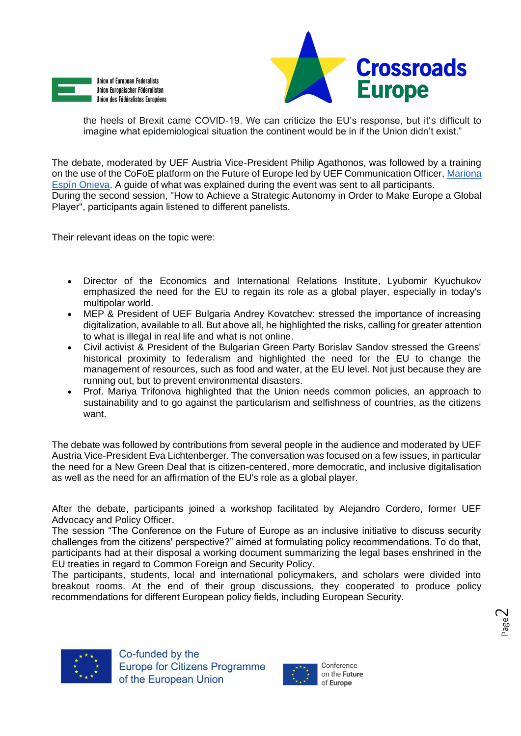



the heels of Brexit came COVID-19. We can criticize the EU's response, but it's difficult to imagine what epidemiological situation the continent would be in if the Union didn't exist."

The debate, moderated by UEF Austria Vice-President Philip Agathonos, was followed by a training on the use of the CoFoE platform on the Future of Europe led by UEF Communication Officer[, Mariona](mailto:mariona.espinonieva@federalists.eu)  [Espín Onieva.](mailto:mariona.espinonieva@federalists.eu) A guide of what was explained during the event was sent to all participants. During the second session, "How to Achieve a Strategic Autonomy in Order to Make Europe a Global Player", participants again listened to different panelists.

Their relevant ideas on the topic were:

- Director of the Economics and International Relations Institute, Lyubomir Kyuchukov emphasized the need for the EU to regain its role as a global player, especially in today's multipolar world.
- MEP & President of UEF Bulgaria Andrey Kovatchev: stressed the importance of increasing digitalization, available to all. But above all, he highlighted the risks, calling for greater attention to what is illegal in real life and what is not online.
- Civil activist & President of the Bulgarian Green Party Borislav Sandov stressed the Greens' historical proximity to federalism and highlighted the need for the EU to change the management of resources, such as food and water, at the EU level. Not just because they are running out, but to prevent environmental disasters.
- Prof. Mariya Trifonova highlighted that the Union needs common policies, an approach to sustainability and to go against the particularism and selfishness of countries, as the citizens want.

The debate was followed by contributions from several people in the audience and moderated by UEF Austria Vice-President Eva Lichtenberger. The conversation was focused on a few issues, in particular the need for a New Green Deal that is citizen-centered, more democratic, and inclusive digitalisation as well as the need for an affirmation of the EU's role as a global player.

After the debate, participants joined a workshop facilitated by Alejandro Cordero, former UEF Advocacy and Policy Officer.

The session "The Conference on the Future of Europe as an inclusive initiative to discuss security challenges from the citizens' perspective?" aimed at formulating policy recommendations. To do that, participants had at their disposal a working document summarizing the legal bases enshrined in the EU treaties in regard to Common Foreign and Security Policy.

The participants, students, local and international policymakers, and scholars were divided into breakout rooms. At the end of their group discussions, they cooperated to produce policy recommendations for different European policy fields, including European Security.



Co-funded by the **Europe for Citizens Programme** of the European Union

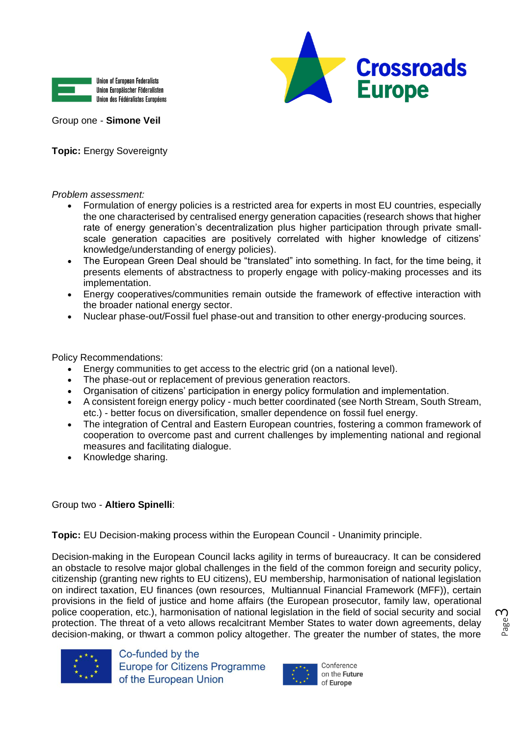



Group one - **Simone Veil**

**Topic:** Energy Sovereignty

*Problem assessment:*

- Formulation of energy policies is a restricted area for experts in most EU countries, especially the one characterised by centralised energy generation capacities (research shows that higher rate of energy generation's decentralization plus higher participation through private smallscale generation capacities are positively correlated with higher knowledge of citizens' knowledge/understanding of energy policies).
- The European Green Deal should be "translated" into something. In fact, for the time being, it presents elements of abstractness to properly engage with policy-making processes and its implementation.
- Energy cooperatives/communities remain outside the framework of effective interaction with the broader national energy sector.
- Nuclear phase-out/Fossil fuel phase-out and transition to other energy-producing sources.

Policy Recommendations:

- Energy communities to get access to the electric grid (on a national level).
- The phase-out or replacement of previous generation reactors.
- Organisation of citizens' participation in energy policy formulation and implementation.
- A consistent foreign energy policy much better coordinated (see North Stream, South Stream, etc.) - better focus on diversification, smaller dependence on fossil fuel energy.
- The integration of Central and Eastern European countries, fostering a common framework of cooperation to overcome past and current challenges by implementing national and regional measures and facilitating dialogue.
- Knowledge sharing.

## Group two - **Altiero Spinelli**:

**Topic:** EU Decision-making process within the European Council - Unanimity principle.

Decision-making in the European Council lacks agility in terms of bureaucracy. It can be considered an obstacle to resolve major global challenges in the field of the common foreign and security policy, citizenship (granting new rights to EU citizens), EU membership, harmonisation of national legislation on indirect taxation, EU finances (own resources, Multiannual Financial Framework (MFF)), certain provisions in the field of justice and home affairs (the European prosecutor, family law, operational police cooperation, etc.), harmonisation of national legislation in the field of social security and social protection. The threat of a veto allows recalcitrant Member States to water down agreements, delay decision-making, or thwart a common policy altogether. The greater the number of states, the more



Co-funded by the **Europe for Citizens Programme** of the European Union



Page ന